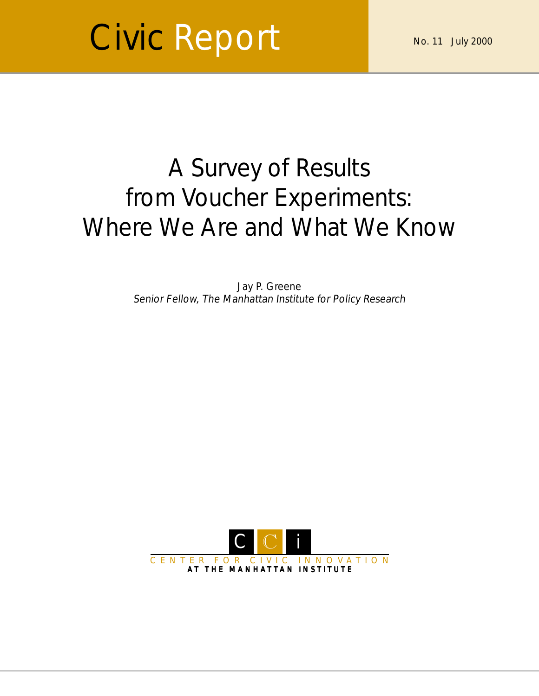# A Survey of Results from Voucher Experiments: Where We Are and What We Know

Jay P. Greene Senior Fellow, The Manhattan Institute for Policy Research

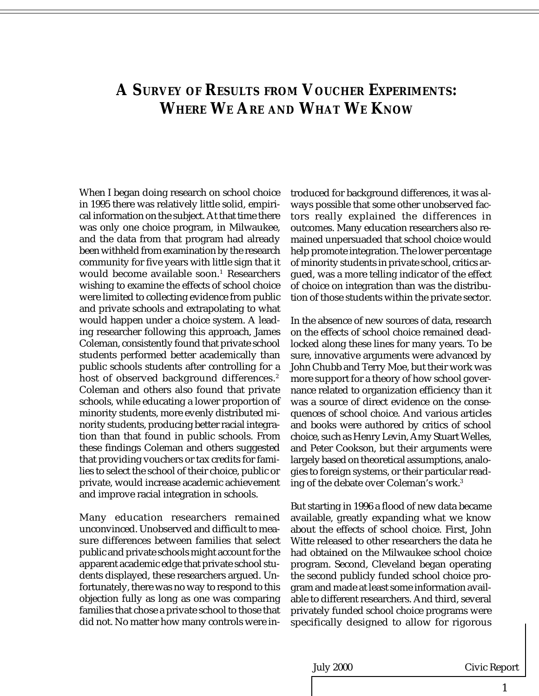# **A SURVEY OF RESULTS FROM VOUCHER EXPERIMENTS: WHERE WE ARE AND WHAT WE KNOW**

When I began doing research on school choice in 1995 there was relatively little solid, empirical information on the subject. At that time there was only one choice program, in Milwaukee, and the data from that program had already been withheld from examination by the research community for five years with little sign that it would become available soon.<sup>1</sup> Researchers wishing to examine the effects of school choice were limited to collecting evidence from public and private schools and extrapolating to what would happen under a choice system. A leading researcher following this approach, James Coleman, consistently found that private school students performed better academically than public schools students after controlling for a host of observed background differences.<sup>2</sup> Coleman and others also found that private schools, while educating a lower proportion of minority students, more evenly distributed minority students, producing better racial integration than that found in public schools. From these findings Coleman and others suggested that providing vouchers or tax credits for families to select the school of their choice, public or private, would increase academic achievement and improve racial integration in schools.

Many education researchers remained unconvinced. Unobserved and difficult to measure differences between families that select public and private schools might account for the apparent academic edge that private school students displayed, these researchers argued. Unfortunately, there was no way to respond to this objection fully as long as one was comparing families that chose a private school to those that did not. No matter how many controls were in-

troduced for background differences, it was always possible that some other unobserved factors really explained the differences in outcomes. Many education researchers also remained unpersuaded that school choice would help promote integration. The lower percentage of minority students in private school, critics argued, was a more telling indicator of the effect of choice on integration than was the distribution of those students within the private sector.

In the absence of new sources of data, research on the effects of school choice remained deadlocked along these lines for many years. To be sure, innovative arguments were advanced by John Chubb and Terry Moe, but their work was more support for a theory of how school governance related to organization efficiency than it was a source of direct evidence on the consequences of school choice. And various articles and books were authored by critics of school choice, such as Henry Levin, Amy Stuart Welles, and Peter Cookson, but their arguments were largely based on theoretical assumptions, analogies to foreign systems, or their particular reading of the debate over Coleman's work.3

But starting in 1996 a flood of new data became available, greatly expanding what we know about the effects of school choice. First, John Witte released to other researchers the data he had obtained on the Milwaukee school choice program. Second, Cleveland began operating the second publicly funded school choice program and made at least some information available to different researchers. And third, several privately funded school choice programs were specifically designed to allow for rigorous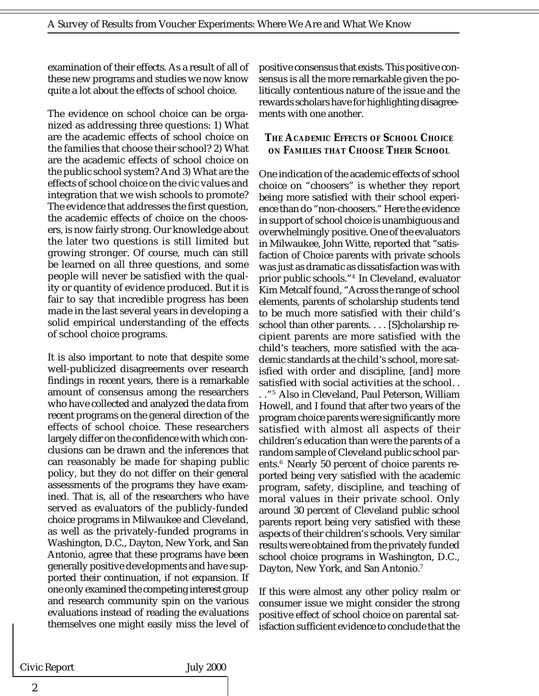examination of their effects. As a result of all of these new programs and studies we now know quite a lot about the effects of school choice.

The evidence on school choice can be organized as addressing three questions: 1) What are the academic effects of school choice on the families that choose their school? 2) What are the academic effects of school choice on the public school system? And 3) What are the effects of school choice on the civic values and integration that we wish schools to promote? The evidence that addresses the first question, the academic effects of choice on the choosers, is now fairly strong. Our knowledge about the later two questions is still limited but growing stronger. Of course, much can still be learned on all three questions, and some people will never be satisfied with the quality or quantity of evidence produced. But it is fair to say that incredible progress has been made in the last several years in developing a solid empirical understanding of the effects of school choice programs.

It is also important to note that despite some well-publicized disagreements over research findings in recent years, there is a remarkable amount of consensus among the researchers who have collected and analyzed the data from recent programs on the general direction of the effects of school choice. These researchers largely differ on the confidence with which conclusions can be drawn and the inferences that can reasonably be made for shaping public policy, but they do not differ on their general assessments of the programs they have examined. That is, all of the researchers who have served as evaluators of the publicly-funded choice programs in Milwaukee and Cleveland, as well as the privately-funded programs in Washington, D.C., Dayton, New York, and San Antonio, agree that these programs have been generally positive developments and have supported their continuation, if not expansion. If one only examined the competing interest group and research community spin on the various evaluations instead of reading the evaluations themselves one might easily miss the level of positive consensus that exists. This positive consensus is all the more remarkable given the politically contentious nature of the issue and the rewards scholars have for highlighting disagreements with one another.

# **THE ACADEMIC EFFECTS OF SCHOOL CHOICE ON FAMILIES THAT CHOOSE THEIR SCHOOL**

One indication of the academic effects of school choice on "choosers" is whether they report being more satisfied with their school experience than do "non-choosers." Here the evidence in support of school choice is unambiguous and overwhelmingly positive. One of the evaluators in Milwaukee, John Witte, reported that "satisfaction of Choice parents with private schools was just as dramatic as dissatisfaction was with prior public schools."4 In Cleveland, evaluator Kim Metcalf found, "Across the range of school elements, parents of scholarship students tend to be much more satisfied with their child's school than other parents. . . . [S]cholarship recipient parents are more satisfied with the child's teachers, more satisfied with the academic standards at the child's school, more satisfied with order and discipline, [and] more satisfied with social activities at the school. .

. ."5 Also in Cleveland, Paul Peterson, William Howell, and I found that after two years of the program choice parents were significantly more satisfied with almost all aspects of their children's education than were the parents of a random sample of Cleveland public school parents.<sup>6</sup> Nearly 50 percent of choice parents reported being very satisfied with the academic program, safety, discipline, and teaching of moral values in their private school. Only around 30 percent of Cleveland public school parents report being very satisfied with these aspects of their children's schools. Very similar results were obtained from the privately funded school choice programs in Washington, D.C., Dayton, New York, and San Antonio.<sup>7</sup>

If this were almost any other policy realm or consumer issue we might consider the strong positive effect of school choice on parental satisfaction sufficient evidence to conclude that the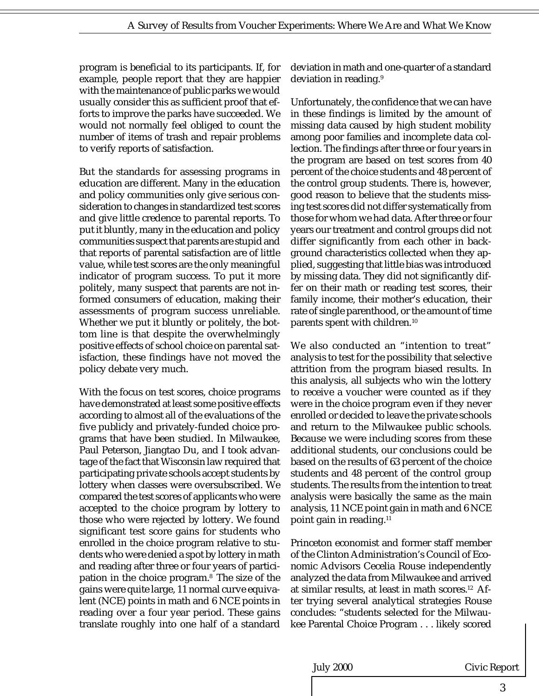program is beneficial to its participants. If, for example, people report that they are happier with the maintenance of public parks we would usually consider this as sufficient proof that efforts to improve the parks have succeeded. We would not normally feel obliged to count the number of items of trash and repair problems to verify reports of satisfaction.

But the standards for assessing programs in education are different. Many in the education and policy communities only give serious consideration to changes in standardized test scores and give little credence to parental reports. To put it bluntly, many in the education and policy communities suspect that parents are stupid and that reports of parental satisfaction are of little value, while test scores are the only meaningful indicator of program success. To put it more politely, many suspect that parents are not informed consumers of education, making their assessments of program success unreliable. Whether we put it bluntly or politely, the bottom line is that despite the overwhelmingly positive effects of school choice on parental satisfaction, these findings have not moved the policy debate very much.

With the focus on test scores, choice programs have demonstrated at least some positive effects according to almost all of the evaluations of the five publicly and privately-funded choice programs that have been studied. In Milwaukee, Paul Peterson, Jiangtao Du, and I took advantage of the fact that Wisconsin law required that participating private schools accept students by lottery when classes were oversubscribed. We compared the test scores of applicants who were accepted to the choice program by lottery to those who were rejected by lottery. We found significant test score gains for students who enrolled in the choice program relative to students who were denied a spot by lottery in math and reading after three or four years of participation in the choice program.8 The size of the gains were quite large, 11 normal curve equivalent (NCE) points in math and 6 NCE points in reading over a four year period. These gains translate roughly into one half of a standard

deviation in math and one-quarter of a standard deviation in reading.<sup>9</sup>

Unfortunately, the confidence that we can have in these findings is limited by the amount of missing data caused by high student mobility among poor families and incomplete data collection. The findings after three or four years in the program are based on test scores from 40 percent of the choice students and 48 percent of the control group students. There is, however, good reason to believe that the students missing test scores did not differ systematically from those for whom we had data. After three or four years our treatment and control groups did not differ significantly from each other in background characteristics collected when they applied, suggesting that little bias was introduced by missing data. They did not significantly differ on their math or reading test scores, their family income, their mother's education, their rate of single parenthood, or the amount of time parents spent with children.10

We also conducted an "intention to treat" analysis to test for the possibility that selective attrition from the program biased results. In this analysis, all subjects who win the lottery to receive a voucher were counted as if they were in the choice program even if they never enrolled or decided to leave the private schools and return to the Milwaukee public schools. Because we were including scores from these additional students, our conclusions could be based on the results of 63 percent of the choice students and 48 percent of the control group students. The results from the intention to treat analysis were basically the same as the main analysis, 11 NCE point gain in math and 6 NCE point gain in reading.<sup>11</sup>

Princeton economist and former staff member of the Clinton Administration's Council of Economic Advisors Cecelia Rouse independently analyzed the data from Milwaukee and arrived at similar results, at least in math scores.12 After trying several analytical strategies Rouse concludes: "students selected for the Milwaukee Parental Choice Program . . . likely scored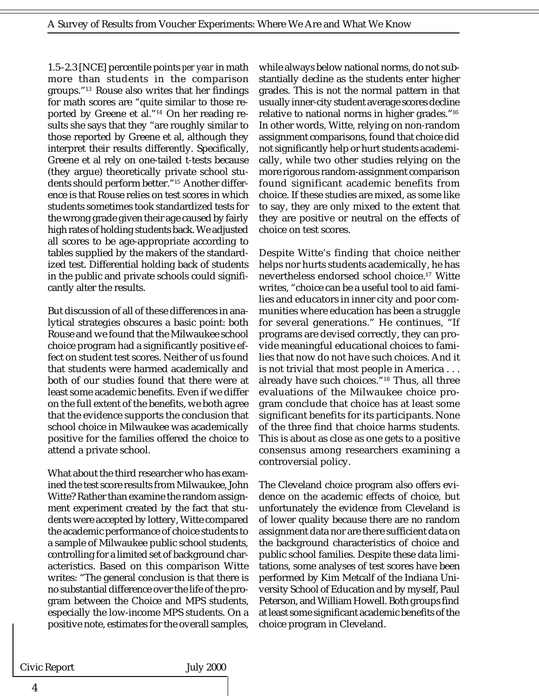1.5–2.3 [NCE] percentile points *per year* in math more than students in the comparison groups."13 Rouse also writes that her findings for math scores are "quite similar to those reported by Greene et al."14 On her reading results she says that they "are roughly similar to those reported by Greene et al, although they interpret their results differently. Specifically, Greene et al rely on one-tailed t-tests because (they argue) theoretically private school students should perform better."15 Another difference is that Rouse relies on test scores in which students sometimes took standardized tests for the wrong grade given their age caused by fairly high rates of holding students back. We adjusted all scores to be age-appropriate according to tables supplied by the makers of the standardized test. Differential holding back of students in the public and private schools could significantly alter the results.

But discussion of all of these differences in analytical strategies obscures a basic point: both Rouse and we found that the Milwaukee school choice program had a significantly positive effect on student test scores. Neither of us found that students were harmed academically and both of our studies found that there were at least some academic benefits. Even if we differ on the full extent of the benefits, we both agree that the evidence supports the conclusion that school choice in Milwaukee was academically positive for the families offered the choice to attend a private school.

What about the third researcher who has examined the test score results from Milwaukee, John Witte? Rather than examine the random assignment experiment created by the fact that students were accepted by lottery, Witte compared the academic performance of choice students to a sample of Milwaukee public school students, controlling for a limited set of background characteristics. Based on this comparison Witte writes: "The general conclusion is that there is no substantial difference over the life of the program between the Choice and MPS students, especially the low-income MPS students. On a positive note, estimates for the overall samples,

while always below national norms, do not substantially decline as the students enter higher grades. This is not the normal pattern in that usually inner-city student average scores decline relative to national norms in higher grades."16 In other words, Witte, relying on non-random assignment comparisons, found that choice did not significantly help or hurt students academically, while two other studies relying on the more rigorous random-assignment comparison found significant academic benefits from choice. If these studies are mixed, as some like to say, they are only mixed to the extent that they are positive or neutral on the effects of choice on test scores.

Despite Witte's finding that choice neither helps nor hurts students academically, he has nevertheless endorsed school choice.17 Witte writes, "choice can be a useful tool to aid families and educators in inner city and poor communities where education has been a struggle for several generations." He continues, "If programs are devised correctly, they can provide meaningful educational choices to families that now do not have such choices. And it is not trivial that most people in America . . . already have such choices."18 Thus, all three evaluations of the Milwaukee choice program conclude that choice has at least some significant benefits for its participants. None of the three find that choice harms students. This is about as close as one gets to a positive consensus among researchers examining a controversial policy.

The Cleveland choice program also offers evidence on the academic effects of choice, but unfortunately the evidence from Cleveland is of lower quality because there are no random assignment data nor are there sufficient data on the background characteristics of choice and public school families. Despite these data limitations, some analyses of test scores have been performed by Kim Metcalf of the Indiana University School of Education and by myself, Paul Peterson, and William Howell. Both groups find at least some significant academic benefits of the choice program in Cleveland.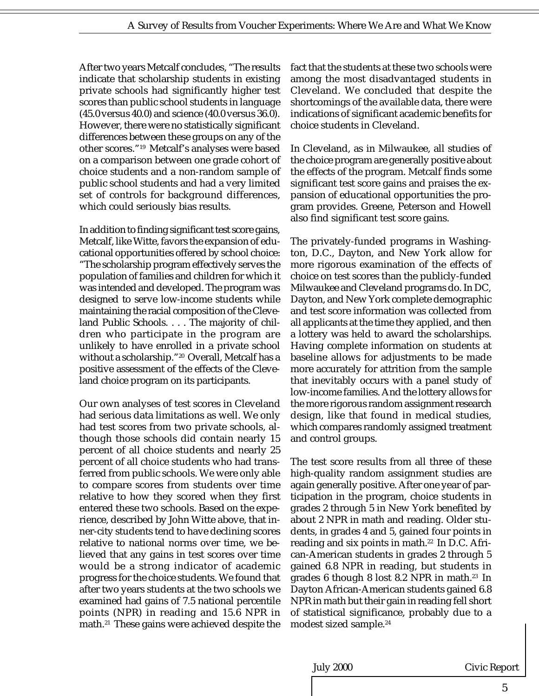After two years Metcalf concludes, "The results indicate that scholarship students in existing private schools had significantly higher test scores than public school students in language (45.0 versus 40.0) and science (40.0 versus 36.0). However, there were no statistically significant differences between these groups on any of the other scores."19 Metcalf's analyses were based on a comparison between one grade cohort of choice students and a non-random sample of public school students and had a very limited set of controls for background differences, which could seriously bias results.

In addition to finding significant test score gains, Metcalf, like Witte, favors the expansion of educational opportunities offered by school choice: "The scholarship program effectively serves the population of families and children for which it was intended and developed. The program was designed to serve low-income students while maintaining the racial composition of the Cleveland Public Schools. . . . The majority of children who participate in the program are unlikely to have enrolled in a private school without a scholarship."20 Overall, Metcalf has a positive assessment of the effects of the Cleveland choice program on its participants.

Our own analyses of test scores in Cleveland had serious data limitations as well. We only had test scores from two private schools, although those schools did contain nearly 15 percent of all choice students and nearly 25 percent of all choice students who had transferred from public schools. We were only able to compare scores from students over time relative to how they scored when they first entered these two schools. Based on the experience, described by John Witte above, that inner-city students tend to have declining scores relative to national norms over time, we believed that any gains in test scores over time would be a strong indicator of academic progress for the choice students. We found that after two years students at the two schools we examined had gains of 7.5 national percentile points (NPR) in reading and 15.6 NPR in math.21 These gains were achieved despite the

fact that the students at these two schools were among the most disadvantaged students in Cleveland. We concluded that despite the shortcomings of the available data, there were indications of significant academic benefits for choice students in Cleveland.

In Cleveland, as in Milwaukee, all studies of the choice program are generally positive about the effects of the program. Metcalf finds some significant test score gains and praises the expansion of educational opportunities the program provides. Greene, Peterson and Howell also find significant test score gains.

The privately-funded programs in Washington, D.C., Dayton, and New York allow for more rigorous examination of the effects of choice on test scores than the publicly-funded Milwaukee and Cleveland programs do. In DC, Dayton, and New York complete demographic and test score information was collected from all applicants at the time they applied, and then a lottery was held to award the scholarships. Having complete information on students at baseline allows for adjustments to be made more accurately for attrition from the sample that inevitably occurs with a panel study of low-income families. And the lottery allows for the more rigorous random assignment research design, like that found in medical studies, which compares randomly assigned treatment and control groups.

The test score results from all three of these high-quality random assignment studies are again generally positive. After one year of participation in the program, choice students in grades 2 through 5 in New York benefited by about 2 NPR in math and reading. Older students, in grades 4 and 5, gained four points in reading and six points in math.<sup>22</sup> In D.C. African-American students in grades 2 through 5 gained 6.8 NPR in reading, but students in grades 6 though 8 lost 8.2 NPR in math.<sup>23</sup> In Dayton African-American students gained 6.8 NPR in math but their gain in reading fell short of statistical significance, probably due to a modest sized sample.<sup>24</sup>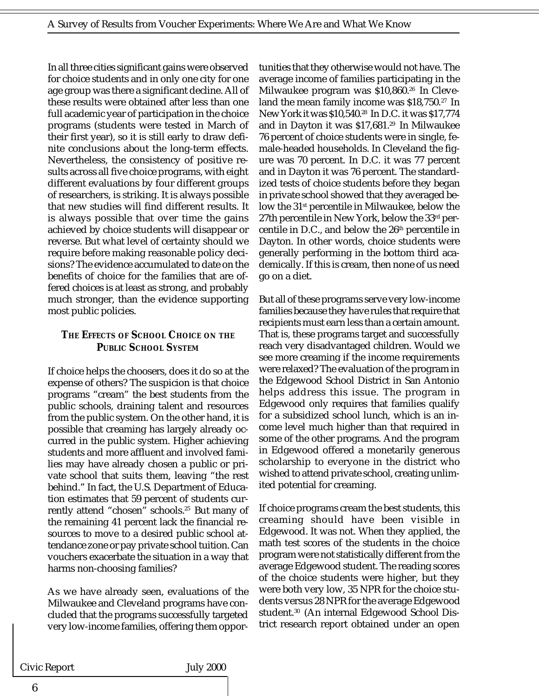In all three cities significant gains were observed for choice students and in only one city for one age group was there a significant decline. All of these results were obtained after less than one full academic year of participation in the choice programs (students were tested in March of their first year), so it is still early to draw definite conclusions about the long-term effects. Nevertheless, the consistency of positive results across all five choice programs, with eight different evaluations by four different groups of researchers, is striking. It is always possible that new studies will find different results. It is always possible that over time the gains achieved by choice students will disappear or reverse. But what level of certainty should we require before making reasonable policy decisions? The evidence accumulated to date on the benefits of choice for the families that are offered choices is at least as strong, and probably much stronger, than the evidence supporting most public policies.

# **THE EFFECTS OF SCHOOL CHOICE ON THE PUBLIC SCHOOL SYSTEM**

If choice helps the choosers, does it do so at the expense of others? The suspicion is that choice programs "cream" the best students from the public schools, draining talent and resources from the public system. On the other hand, it is possible that creaming has largely already occurred in the public system. Higher achieving students and more affluent and involved families may have already chosen a public or private school that suits them, leaving "the rest behind." In fact, the U.S. Department of Education estimates that 59 percent of students currently attend "chosen" schools.<sup>25</sup> But many of the remaining 41 percent lack the financial resources to move to a desired public school attendance zone or pay private school tuition. Can vouchers exacerbate the situation in a way that harms non-choosing families?

As we have already seen, evaluations of the Milwaukee and Cleveland programs have concluded that the programs successfully targeted very low-income families, offering them opportunities that they otherwise would not have. The average income of families participating in the Milwaukee program was \$10,860.<sup>26</sup> In Cleveland the mean family income was \$18,750.<sup>27</sup> In New York it was \$10,540.28 In D.C. it was \$17,774 and in Dayton it was \$17,681.<sup>29</sup> In Milwaukee 76 percent of choice students were in single, female-headed households. In Cleveland the figure was 70 percent. In D.C. it was 77 percent and in Dayton it was 76 percent. The standardized tests of choice students before they began in private school showed that they averaged below the 31<sup>st</sup> percentile in Milwaukee, below the 27th percentile in New York, below the  $33<sup>rd</sup>$  percentile in D.C., and below the  $26<sup>th</sup>$  percentile in Dayton. In other words, choice students were generally performing in the bottom third academically. If this is cream, then none of us need go on a diet.

But all of these programs serve very low-income families because they have rules that require that recipients must earn less than a certain amount. That is, these programs target and successfully reach very disadvantaged children. Would we see more creaming if the income requirements were relaxed? The evaluation of the program in the Edgewood School District in San Antonio helps address this issue. The program in Edgewood only requires that families qualify for a subsidized school lunch, which is an income level much higher than that required in some of the other programs. And the program in Edgewood offered a monetarily generous scholarship to everyone in the district who wished to attend private school, creating unlimited potential for creaming.

If choice programs cream the best students, this creaming should have been visible in Edgewood. It was not. When they applied, the math test scores of the students in the choice program were not statistically different from the average Edgewood student. The reading scores of the choice students were higher, but they were both very low, 35 NPR for the choice students versus 28 NPR for the average Edgewood student.30 (An internal Edgewood School District research report obtained under an open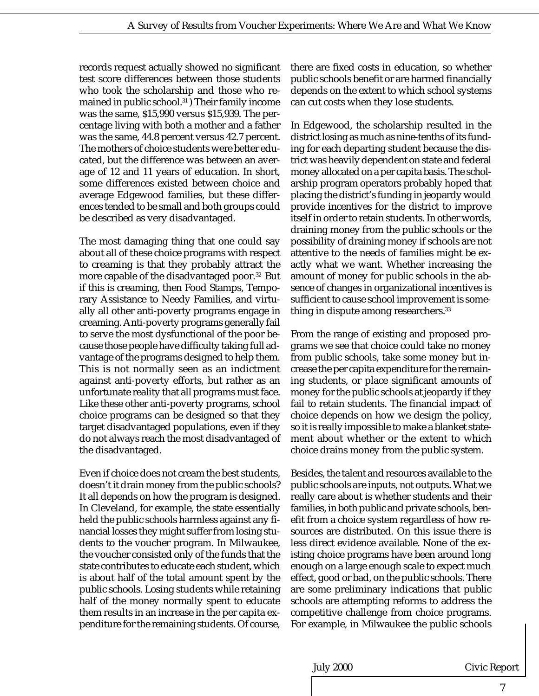records request actually showed no significant test score differences between those students who took the scholarship and those who remained in public school.31 ) Their family income was the same, \$15,990 versus \$15,939. The percentage living with both a mother and a father was the same, 44.8 percent versus 42.7 percent. The mothers of choice students were better educated, but the difference was between an average of 12 and 11 years of education. In short, some differences existed between choice and average Edgewood families, but these differences tended to be small and both groups could be described as very disadvantaged.

The most damaging thing that one could say about all of these choice programs with respect to creaming is that they probably attract the more capable of the disadvantaged poor.<sup>32</sup> But if this is creaming, then Food Stamps, Temporary Assistance to Needy Families, and virtually all other anti-poverty programs engage in creaming. Anti-poverty programs generally fail to serve the most dysfunctional of the poor because those people have difficulty taking full advantage of the programs designed to help them. This is not normally seen as an indictment against anti-poverty efforts, but rather as an unfortunate reality that all programs must face. Like these other anti-poverty programs, school choice programs can be designed so that they target disadvantaged populations, even if they do not always reach the most disadvantaged of the disadvantaged.

Even if choice does not cream the best students, doesn't it drain money from the public schools? It all depends on how the program is designed. In Cleveland, for example, the state essentially held the public schools harmless against any financial losses they might suffer from losing students to the voucher program. In Milwaukee, the voucher consisted only of the funds that the state contributes to educate each student, which is about half of the total amount spent by the public schools. Losing students while retaining half of the money normally spent to educate them results in an increase in the per capita expenditure for the remaining students. Of course,

there are fixed costs in education, so whether public schools benefit or are harmed financially depends on the extent to which school systems can cut costs when they lose students.

In Edgewood, the scholarship resulted in the district losing as much as nine-tenths of its funding for each departing student because the district was heavily dependent on state and federal money allocated on a per capita basis. The scholarship program operators probably hoped that placing the district's funding in jeopardy would provide incentives for the district to improve itself in order to retain students. In other words, draining money from the public schools or the possibility of draining money if schools are not attentive to the needs of families might be exactly what we want. Whether increasing the amount of money for public schools in the absence of changes in organizational incentives is sufficient to cause school improvement is something in dispute among researchers.<sup>33</sup>

From the range of existing and proposed programs we see that choice could take no money from public schools, take some money but increase the per capita expenditure for the remaining students, or place significant amounts of money for the public schools at jeopardy if they fail to retain students. The financial impact of choice depends on how we design the policy, so it is really impossible to make a blanket statement about whether or the extent to which choice drains money from the public system.

Besides, the talent and resources available to the public schools are inputs, not outputs. What we really care about is whether students and their families, in both public and private schools, benefit from a choice system regardless of how resources are distributed. On this issue there is less direct evidence available. None of the existing choice programs have been around long enough on a large enough scale to expect much effect, good or bad, on the public schools. There are some preliminary indications that public schools are attempting reforms to address the competitive challenge from choice programs. For example, in Milwaukee the public schools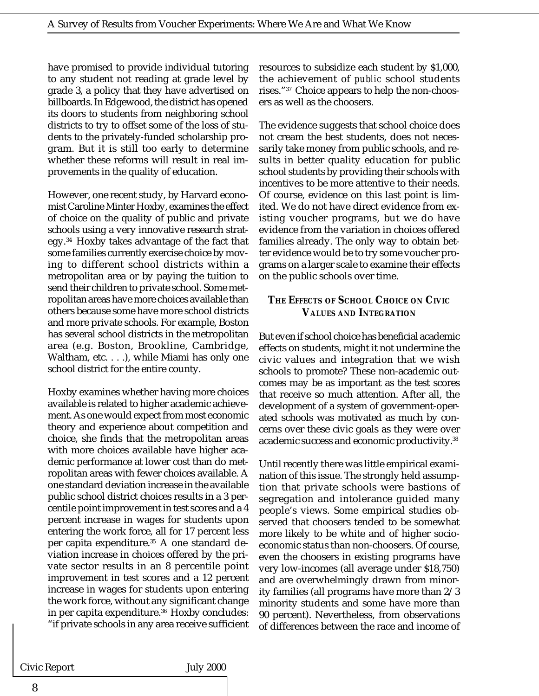have promised to provide individual tutoring to any student not reading at grade level by grade 3, a policy that they have advertised on billboards. In Edgewood, the district has opened its doors to students from neighboring school districts to try to offset some of the loss of students to the privately-funded scholarship program. But it is still too early to determine whether these reforms will result in real improvements in the quality of education.

However, one recent study, by Harvard economist Caroline Minter Hoxby, examines the effect of choice on the quality of public and private schools using a very innovative research strategy.34 Hoxby takes advantage of the fact that some families currently exercise choice by moving to different school districts within a metropolitan area or by paying the tuition to send their children to private school. Some metropolitan areas have more choices available than others because some have more school districts and more private schools. For example, Boston has several school districts in the metropolitan area (e.g. Boston, Brookline, Cambridge, Waltham, etc. . . .), while Miami has only one school district for the entire county.

Hoxby examines whether having more choices available is related to higher academic achievement. As one would expect from most economic theory and experience about competition and choice, she finds that the metropolitan areas with more choices available have higher academic performance at lower cost than do metropolitan areas with fewer choices available. A one standard deviation increase in the available public school district choices results in a 3 percentile point improvement in test scores and a 4 percent increase in wages for students upon entering the work force, all for 17 percent less per capita expenditure.<sup>35</sup> A one standard deviation increase in choices offered by the private sector results in an 8 percentile point improvement in test scores and a 12 percent increase in wages for students upon entering the work force, without any significant change in per capita expenditure.36 Hoxby concludes: "if private schools in any area receive sufficient

resources to subsidize each student by \$1,000, the achievement of *public* school students rises."37 Choice appears to help the non-choosers as well as the choosers.

The evidence suggests that school choice does not cream the best students, does not necessarily take money from public schools, and results in better quality education for public school students by providing their schools with incentives to be more attentive to their needs. Of course, evidence on this last point is limited. We do not have direct evidence from existing voucher programs, but we do have evidence from the variation in choices offered families already. The only way to obtain better evidence would be to try some voucher programs on a larger scale to examine their effects on the public schools over time.

#### **THE EFFECTS OF SCHOOL CHOICE ON CIVIC VALUES AND INTEGRATION**

But even if school choice has beneficial academic effects on students, might it not undermine the civic values and integration that we wish schools to promote? These non-academic outcomes may be as important as the test scores that receive so much attention. After all, the development of a system of government-operated schools was motivated as much by concerns over these civic goals as they were over academic success and economic productivity.38

Until recently there was little empirical examination of this issue. The strongly held assumption that private schools were bastions of segregation and intolerance guided many people's views. Some empirical studies observed that choosers tended to be somewhat more likely to be white and of higher socioeconomic status than non-choosers. Of course, even the choosers in existing programs have very low-incomes (all average under \$18,750) and are overwhelmingly drawn from minority families (all programs have more than 2/3 minority students and some have more than 90 percent). Nevertheless, from observations of differences between the race and income of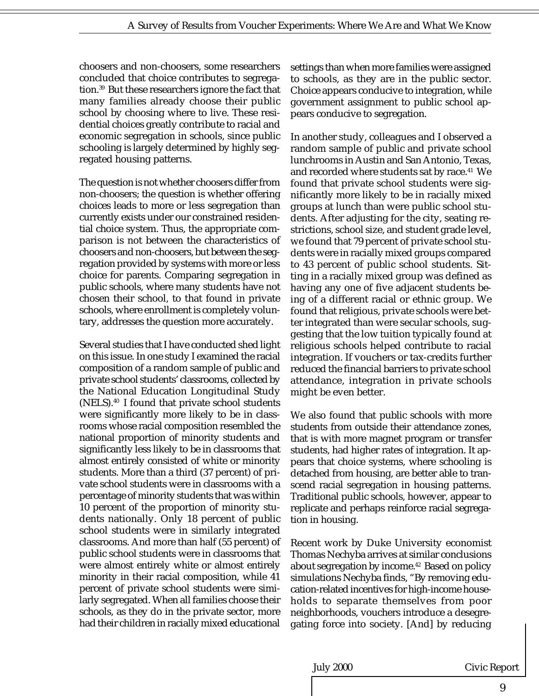choosers and non-choosers, some researchers concluded that choice contributes to segregation.39 But these researchers ignore the fact that many families already choose their public school by choosing where to live. These residential choices greatly contribute to racial and economic segregation in schools, since public schooling is largely determined by highly segregated housing patterns.

The question is not whether choosers differ from non-choosers; the question is whether offering choices leads to more or less segregation than currently exists under our constrained residential choice system. Thus, the appropriate comparison is not between the characteristics of choosers and non-choosers, but between the segregation provided by systems with more or less choice for parents. Comparing segregation in public schools, where many students have not chosen their school, to that found in private schools, where enrollment is completely voluntary, addresses the question more accurately.

Several studies that I have conducted shed light on this issue. In one study I examined the racial composition of a random sample of public and private school students' classrooms, collected by the National Education Longitudinal Study (NELS).40 I found that private school students were significantly more likely to be in classrooms whose racial composition resembled the national proportion of minority students and significantly less likely to be in classrooms that almost entirely consisted of white or minority students. More than a third (37 percent) of private school students were in classrooms with a percentage of minority students that was within 10 percent of the proportion of minority students nationally. Only 18 percent of public school students were in similarly integrated classrooms. And more than half (55 percent) of public school students were in classrooms that were almost entirely white or almost entirely minority in their racial composition, while 41 percent of private school students were similarly segregated. When all families choose their schools, as they do in the private sector, more had their children in racially mixed educational

settings than when more families were assigned to schools, as they are in the public sector. Choice appears conducive to integration, while government assignment to public school appears conducive to segregation.

In another study, colleagues and I observed a random sample of public and private school lunchrooms in Austin and San Antonio, Texas, and recorded where students sat by race.41 We found that private school students were significantly more likely to be in racially mixed groups at lunch than were public school students. After adjusting for the city, seating restrictions, school size, and student grade level, we found that 79 percent of private school students were in racially mixed groups compared to 43 percent of public school students. Sitting in a racially mixed group was defined as having any one of five adjacent students being of a different racial or ethnic group. We found that religious, private schools were better integrated than were secular schools, suggesting that the low tuition typically found at religious schools helped contribute to racial integration. If vouchers or tax-credits further reduced the financial barriers to private school attendance, integration in private schools might be even better.

We also found that public schools with more students from outside their attendance zones, that is with more magnet program or transfer students, had higher rates of integration. It appears that choice systems, where schooling is detached from housing, are better able to transcend racial segregation in housing patterns. Traditional public schools, however, appear to replicate and perhaps reinforce racial segregation in housing.

Recent work by Duke University economist Thomas Nechyba arrives at similar conclusions about segregation by income.<sup>42</sup> Based on policy simulations Nechyba finds, "By removing education-related incentives for high-income households to separate themselves from poor neighborhoods, vouchers introduce a desegregating force into society. [And] by reducing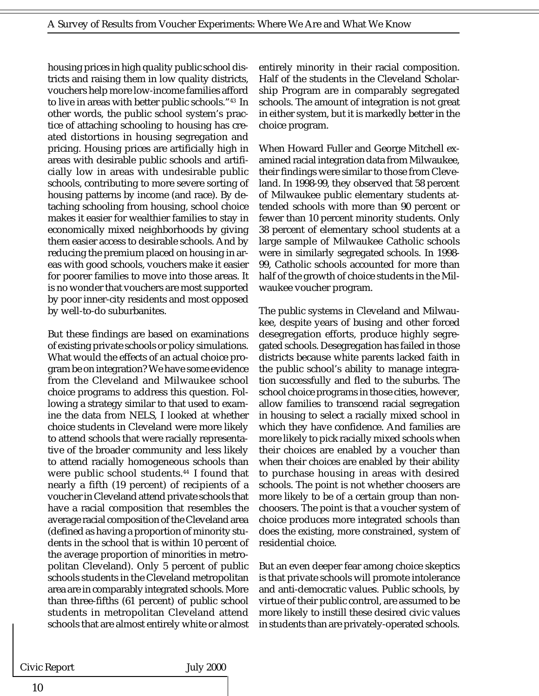housing prices in high quality public school districts and raising them in low quality districts, vouchers help more low-income families afford to live in areas with better public schools."43 In other words, the public school system's practice of attaching schooling to housing has created distortions in housing segregation and pricing. Housing prices are artificially high in areas with desirable public schools and artificially low in areas with undesirable public schools, contributing to more severe sorting of housing patterns by income (and race). By detaching schooling from housing, school choice makes it easier for wealthier families to stay in economically mixed neighborhoods by giving them easier access to desirable schools. And by reducing the premium placed on housing in areas with good schools, vouchers make it easier for poorer families to move into those areas. It is no wonder that vouchers are most supported by poor inner-city residents and most opposed by well-to-do suburbanites.

But these findings are based on examinations of existing private schools or policy simulations. What would the effects of an actual choice program be on integration? We have some evidence from the Cleveland and Milwaukee school choice programs to address this question. Following a strategy similar to that used to examine the data from NELS, I looked at whether choice students in Cleveland were more likely to attend schools that were racially representative of the broader community and less likely to attend racially homogeneous schools than were public school students.<sup>44</sup> I found that nearly a fifth (19 percent) of recipients of a voucher in Cleveland attend private schools that have a racial composition that resembles the average racial composition of the Cleveland area (defined as having a proportion of minority students in the school that is within 10 percent of the average proportion of minorities in metropolitan Cleveland). Only 5 percent of public schools students in the Cleveland metropolitan area are in comparably integrated schools. More than three-fifths (61 percent) of public school students in metropolitan Cleveland attend schools that are almost entirely white or almost

entirely minority in their racial composition. Half of the students in the Cleveland Scholarship Program are in comparably segregated schools. The amount of integration is not great in either system, but it is markedly better in the choice program.

When Howard Fuller and George Mitchell examined racial integration data from Milwaukee, their findings were similar to those from Cleveland. In 1998-99, they observed that 58 percent of Milwaukee public elementary students attended schools with more than 90 percent or fewer than 10 percent minority students. Only 38 percent of elementary school students at a large sample of Milwaukee Catholic schools were in similarly segregated schools. In 1998- 99, Catholic schools accounted for more than half of the growth of choice students in the Milwaukee voucher program.

The public systems in Cleveland and Milwaukee, despite years of busing and other forced desegregation efforts, produce highly segregated schools. Desegregation has failed in those districts because white parents lacked faith in the public school's ability to manage integration successfully and fled to the suburbs. The school choice programs in those cities, however, allow families to transcend racial segregation in housing to select a racially mixed school in which they have confidence. And families are more likely to pick racially mixed schools when their choices are enabled by a voucher than when their choices are enabled by their ability to purchase housing in areas with desired schools. The point is not whether choosers are more likely to be of a certain group than nonchoosers. The point is that a voucher system of choice produces more integrated schools than does the existing, more constrained, system of residential choice.

But an even deeper fear among choice skeptics is that private schools will promote intolerance and anti-democratic values. Public schools, by virtue of their public control, are assumed to be more likely to instill these desired civic values in students than are privately-operated schools.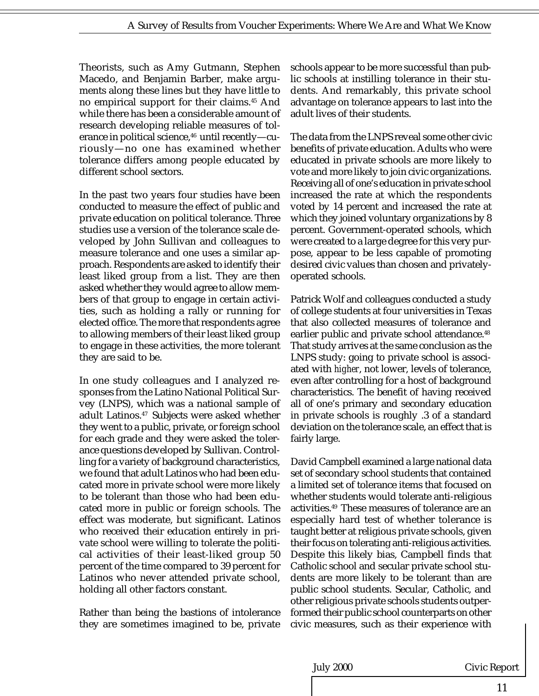Theorists, such as Amy Gutmann, Stephen Macedo, and Benjamin Barber, make arguments along these lines but they have little to no empirical support for their claims.<sup>45</sup> And while there has been a considerable amount of research developing reliable measures of tolerance in political science, $46$  until recently-curiously—no one has examined whether tolerance differs among people educated by different school sectors.

In the past two years four studies have been conducted to measure the effect of public and private education on political tolerance. Three studies use a version of the tolerance scale developed by John Sullivan and colleagues to measure tolerance and one uses a similar approach. Respondents are asked to identify their least liked group from a list. They are then asked whether they would agree to allow members of that group to engage in certain activities, such as holding a rally or running for elected office. The more that respondents agree to allowing members of their least liked group to engage in these activities, the more tolerant they are said to be.

In one study colleagues and I analyzed responses from the Latino National Political Survey (LNPS), which was a national sample of adult Latinos.<sup>47</sup> Subjects were asked whether they went to a public, private, or foreign school for each grade and they were asked the tolerance questions developed by Sullivan. Controlling for a variety of background characteristics, we found that adult Latinos who had been educated more in private school were more likely to be tolerant than those who had been educated more in public or foreign schools. The effect was moderate, but significant. Latinos who received their education entirely in private school were willing to tolerate the political activities of their least-liked group 50 percent of the time compared to 39 percent for Latinos who never attended private school, holding all other factors constant.

Rather than being the bastions of intolerance they are sometimes imagined to be, private schools appear to be more successful than public schools at instilling tolerance in their students. And remarkably, this private school advantage on tolerance appears to last into the adult lives of their students.

The data from the LNPS reveal some other civic benefits of private education. Adults who were educated in private schools are more likely to vote and more likely to join civic organizations. Receiving all of one's education in private school increased the rate at which the respondents voted by 14 percent and increased the rate at which they joined voluntary organizations by 8 percent. Government-operated schools, which were created to a large degree for this very purpose, appear to be less capable of promoting desired civic values than chosen and privatelyoperated schools.

Patrick Wolf and colleagues conducted a study of college students at four universities in Texas that also collected measures of tolerance and earlier public and private school attendance.<sup>48</sup> That study arrives at the same conclusion as the LNPS study: going to private school is associated with *higher*, not lower, levels of tolerance, even after controlling for a host of background characteristics. The benefit of having received all of one's primary and secondary education in private schools is roughly .3 of a standard deviation on the tolerance scale, an effect that is fairly large.

David Campbell examined a large national data set of secondary school students that contained a limited set of tolerance items that focused on whether students would tolerate anti-religious activities.49 These measures of tolerance are an especially hard test of whether tolerance is taught better at religious private schools, given their focus on tolerating anti-religious activities. Despite this likely bias, Campbell finds that Catholic school and secular private school students are more likely to be tolerant than are public school students. Secular, Catholic, and other religious private schools students outperformed their public school counterparts on other civic measures, such as their experience with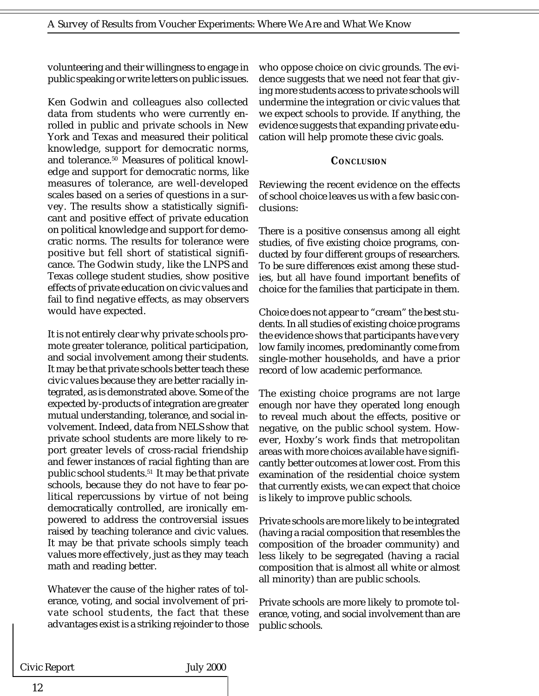volunteering and their willingness to engage in public speaking or write letters on public issues.

Ken Godwin and colleagues also collected data from students who were currently enrolled in public and private schools in New York and Texas and measured their political knowledge, support for democratic norms, and tolerance.50 Measures of political knowledge and support for democratic norms, like measures of tolerance, are well-developed scales based on a series of questions in a survey. The results show a statistically significant and positive effect of private education on political knowledge and support for democratic norms. The results for tolerance were positive but fell short of statistical significance. The Godwin study, like the LNPS and Texas college student studies, show positive effects of private education on civic values and fail to find negative effects, as may observers would have expected.

It is not entirely clear why private schools promote greater tolerance, political participation, and social involvement among their students. It may be that private schools better teach these civic values because they are better racially integrated, as is demonstrated above. Some of the expected by-products of integration are greater mutual understanding, tolerance, and social involvement. Indeed, data from NELS show that private school students are more likely to report greater levels of cross-racial friendship and fewer instances of racial fighting than are public school students.<sup>51</sup> It may be that private schools, because they do not have to fear political repercussions by virtue of not being democratically controlled, are ironically empowered to address the controversial issues raised by teaching tolerance and civic values. It may be that private schools simply teach values more effectively, just as they may teach math and reading better.

Whatever the cause of the higher rates of tolerance, voting, and social involvement of private school students, the fact that these advantages exist is a striking rejoinder to those who oppose choice on civic grounds. The evidence suggests that we need not fear that giving more students access to private schools will undermine the integration or civic values that we expect schools to provide. If anything, the evidence suggests that expanding private education will help promote these civic goals.

#### **CONCLUSION**

Reviewing the recent evidence on the effects of school choice leaves us with a few basic conclusions:

There is a positive consensus among all eight studies, of five existing choice programs, conducted by four different groups of researchers. To be sure differences exist among these studies, but all have found important benefits of choice for the families that participate in them.

Choice does not appear to "cream" the best students. In all studies of existing choice programs the evidence shows that participants have very low family incomes, predominantly come from single-mother households, and have a prior record of low academic performance.

The existing choice programs are not large enough nor have they operated long enough to reveal much about the effects, positive or negative, on the public school system. However, Hoxby's work finds that metropolitan areas with more choices available have significantly better outcomes at lower cost. From this examination of the residential choice system that currently exists, we can expect that choice is likely to improve public schools.

Private schools are more likely to be integrated (having a racial composition that resembles the composition of the broader community) and less likely to be segregated (having a racial composition that is almost all white or almost all minority) than are public schools.

Private schools are more likely to promote tolerance, voting, and social involvement than are public schools.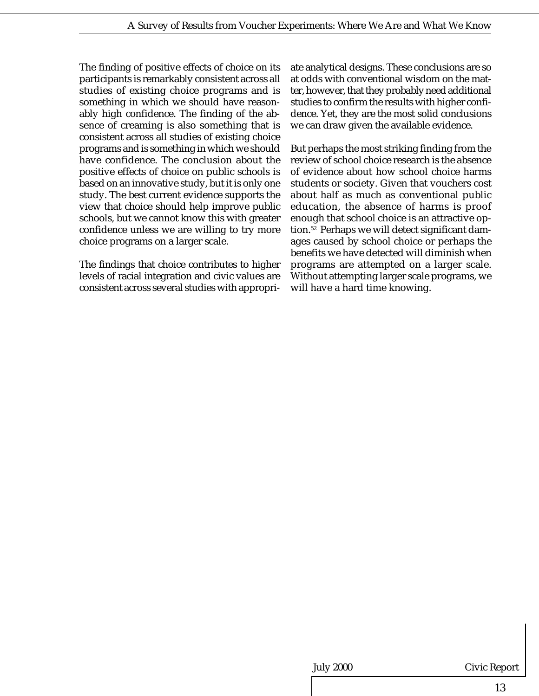The finding of positive effects of choice on its participants is remarkably consistent across all studies of existing choice programs and is something in which we should have reasonably high confidence. The finding of the absence of creaming is also something that is consistent across all studies of existing choice programs and is something in which we should have confidence. The conclusion about the positive effects of choice on public schools is based on an innovative study, but it is only one study. The best current evidence supports the view that choice should help improve public schools, but we cannot know this with greater confidence unless we are willing to try more choice programs on a larger scale.

The findings that choice contributes to higher levels of racial integration and civic values are consistent across several studies with appropri-

ate analytical designs. These conclusions are so at odds with conventional wisdom on the matter, however, that they probably need additional studies to confirm the results with higher confidence. Yet, they are the most solid conclusions we can draw given the available evidence.

But perhaps the most striking finding from the review of school choice research is the absence of evidence about how school choice harms students or society. Given that vouchers cost about half as much as conventional public education, the absence of harms is proof enough that school choice is an attractive option.52 Perhaps we will detect significant damages caused by school choice or perhaps the benefits we have detected will diminish when programs are attempted on a larger scale. Without attempting larger scale programs, we will have a hard time knowing.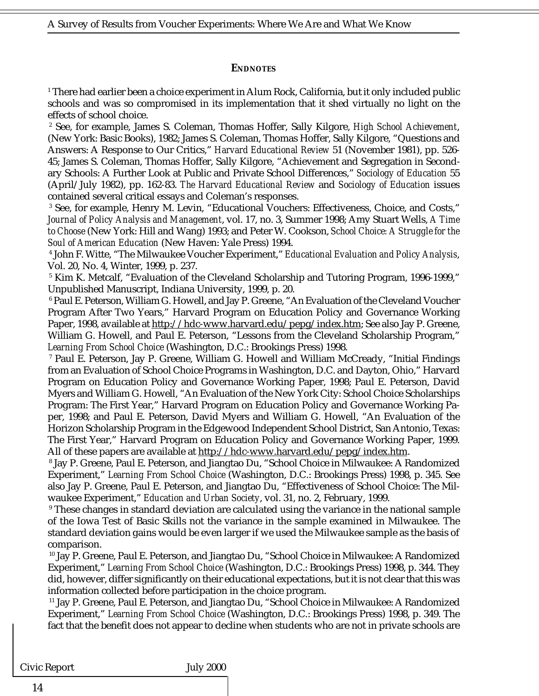#### **ENDNOTES**

 $^{\rm 1}$ There had earlier been a choice experiment in Alum Rock, California, but it only included public schools and was so compromised in its implementation that it shed virtually no light on the effects of school choice.

2 See, for example, James S. Coleman, Thomas Hoffer, Sally Kilgore, *High School Achievement*, (New York: Basic Books), 1982; James S. Coleman, Thomas Hoffer, Sally Kilgore, "Questions and Answers: A Response to Our Critics," *Harvard Educational Review* 51 (November 1981), pp. 526- 45; James S. Coleman, Thomas Hoffer, Sally Kilgore, "Achievement and Segregation in Secondary Schools: A Further Look at Public and Private School Differences," *Sociology of Education* 55 (April/July 1982), pp. 162-83. *The Harvard Educational Review* and *Sociology of Education* issues contained several critical essays and Coleman's responses.

 $\rm ^3$  See, for example, Henry M. Levin, "Educational Vouchers: Effectiveness, Choice, and Costs," *Journal of Policy Analysis and Management*, vol. 17, no. 3, Summer 1998; Amy Stuart Wells, *A Time to Choose* (New York: Hill and Wang) 1993; and Peter W. Cookson, *School Choice: A Struggle for the Soul of American Education* (New Haven: Yale Press) 1994.

4 John F. Witte, "The Milwaukee Voucher Experiment," *Educational Evaluation and Policy Analysis*, Vol. 20, No. 4, Winter, 1999, p. 237.

 $^{\rm 5}$  Kim K. Metcalf, "Evaluation of the Cleveland Scholarship and Tutoring Program, 1996-1999," Unpublished Manuscript, Indiana University, 1999, p. 20.

6 Paul E. Peterson, William G. Howell, and Jay P. Greene, "An Evaluation of the Cleveland Voucher Program After Two Years," Harvard Program on Education Policy and Governance Working Paper, 1998, available at http://hdc-www.harvard.edu/pepg/index.htm; See also Jay P. Greene, William G. Howell, and Paul E. Peterson, "Lessons from the Cleveland Scholarship Program," *Learning From School Choice* (Washington, D.C.: Brookings Press) 1998.

7 Paul E. Peterson, Jay P. Greene, William G. Howell and William McCready, "Initial Findings from an Evaluation of School Choice Programs in Washington, D.C. and Dayton, Ohio," Harvard Program on Education Policy and Governance Working Paper, 1998; Paul E. Peterson, David Myers and William G. Howell, "An Evaluation of the New York City: School Choice Scholarships Program: The First Year," Harvard Program on Education Policy and Governance Working Paper, 1998; and Paul E. Peterson, David Myers and William G. Howell, "An Evaluation of the Horizon Scholarship Program in the Edgewood Independent School District, San Antonio, Texas: The First Year," Harvard Program on Education Policy and Governance Working Paper, 1999. All of these papers are available at http://hdc-www.harvard.edu/pepg/index.htm.

8 Jay P. Greene, Paul E. Peterson, and Jiangtao Du, "School Choice in Milwaukee: A Randomized Experiment," *Learning From School Choice* (Washington, D.C.: Brookings Press) 1998, p. 345. See also Jay P. Greene, Paul E. Peterson, and Jiangtao Du, "Effectiveness of School Choice: The Milwaukee Experiment," *Education and Urban Society*, vol. 31, no. 2, February, 1999.

 $\rm^9$  These changes in standard deviation are calculated using the variance in the national sample of the Iowa Test of Basic Skills not the variance in the sample examined in Milwaukee. The standard deviation gains would be even larger if we used the Milwaukee sample as the basis of comparison.

<sup>10</sup> Jay P. Greene, Paul E. Peterson, and Jiangtao Du, "School Choice in Milwaukee: A Randomized Experiment," *Learning From School Choice* (Washington, D.C.: Brookings Press) 1998, p. 344. They did, however, differ significantly on their educational expectations, but it is not clear that this was information collected before participation in the choice program.

<sup>11</sup> Jay P. Greene, Paul E. Peterson, and Jiangtao Du, "School Choice in Milwaukee: A Randomized Experiment," *Learning From School Choice* (Washington, D.C.: Brookings Press) 1998, p. 349. The fact that the benefit does not appear to decline when students who are not in private schools are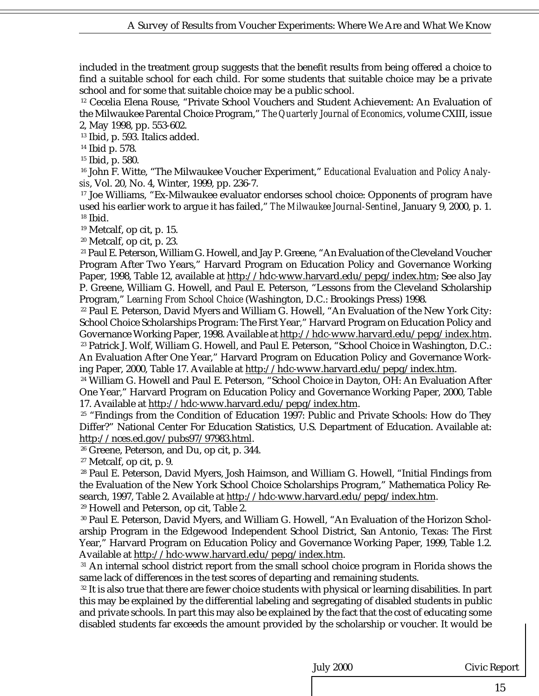included in the treatment group suggests that the benefit results from being offered a choice to find a suitable school for each child. For some students that suitable choice may be a private school and for some that suitable choice may be a public school.

<sup>12</sup> Cecelia Elena Rouse, "Private School Vouchers and Student Achievement: An Evaluation of the Milwaukee Parental Choice Program," *The Quarterly Journal of Economics*, volume CXIII, issue 2, May 1998, pp. 553-602.

13 Ibid, p. 593. Italics added.

14 Ibid p. 578.

15 Ibid, p. 580.

<sup>16</sup> John F. Witte, "The Milwaukee Voucher Experiment," *Educational Evaluation and Policy Analysis*, Vol. 20, No. 4, Winter, 1999, pp. 236-7.

<sup>17</sup> Joe Williams, "Ex-Milwaukee evaluator endorses school choice: Opponents of program have used his earlier work to argue it has failed," *The Milwaukee Journal-Sentinel*, January 9, 2000, p. 1.  $18$  Ibid.

19 Metcalf, op cit, p. 15.

20 Metcalf, op cit, p. 23.

<sup>21</sup> Paul E. Peterson, William G. Howell, and Jay P. Greene, "An Evaluation of the Cleveland Voucher Program After Two Years," Harvard Program on Education Policy and Governance Working Paper, 1998, Table 12, available at http://hdc-www.harvard.edu/pepg/index.htm; See also Jay P. Greene, William G. Howell, and Paul E. Peterson, "Lessons from the Cleveland Scholarship Program," *Learning From School Choice* (Washington, D.C.: Brookings Press) 1998.

<sup>22</sup> Paul E. Peterson, David Myers and William G. Howell, "An Evaluation of the New York City: School Choice Scholarships Program: The First Year," Harvard Program on Education Policy and Governance Working Paper, 1998. Available at http://hdc-www.harvard.edu/pepg/index.htm. 23 Patrick J. Wolf, William G. Howell, and Paul E. Peterson, "School Choice in Washington, D.C.: An Evaluation After One Year," Harvard Program on Education Policy and Governance Working Paper, 2000, Table 17. Available at http://hdc-www.harvard.edu/pepg/index.htm.

<sup>24</sup> William G. Howell and Paul E. Peterson, "School Choice in Dayton, OH: An Evaluation After One Year," Harvard Program on Education Policy and Governance Working Paper, 2000, Table 17. Available at http://hdc-www.harvard.edu/pepg/index.htm.

<sup>25</sup> "Findings from the Condition of Education 1997: Public and Private Schools: How do They Differ?" National Center For Education Statistics, U.S. Department of Education. Available at: http://nces.ed.gov/pubs97/97983.html.

26 Greene, Peterson, and Du, op cit, p. 344.

27 Metcalf, op cit, p. 9.

28 Paul E. Peterson, David Myers, Josh Haimson, and William G. Howell, "Initial Findings from the Evaluation of the New York School Choice Scholarships Program," Mathematica Policy Research, 1997, Table 2. Available at http://hdc-www.harvard.edu/pepg/index.htm.

29 Howell and Peterson, op cit, Table 2.

30 Paul E. Peterson, David Myers, and William G. Howell, "An Evaluation of the Horizon Scholarship Program in the Edgewood Independent School District, San Antonio, Texas: The First Year," Harvard Program on Education Policy and Governance Working Paper, 1999, Table 1.2. Available at http://hdc-www.harvard.edu/pepg/index.htm.

<sup>31</sup> An internal school district report from the small school choice program in Florida shows the same lack of differences in the test scores of departing and remaining students.

<sup>32</sup> It is also true that there are fewer choice students with physical or learning disabilities. In part this may be explained by the differential labeling and segregating of disabled students in public and private schools. In part this may also be explained by the fact that the cost of educating some disabled students far exceeds the amount provided by the scholarship or voucher. It would be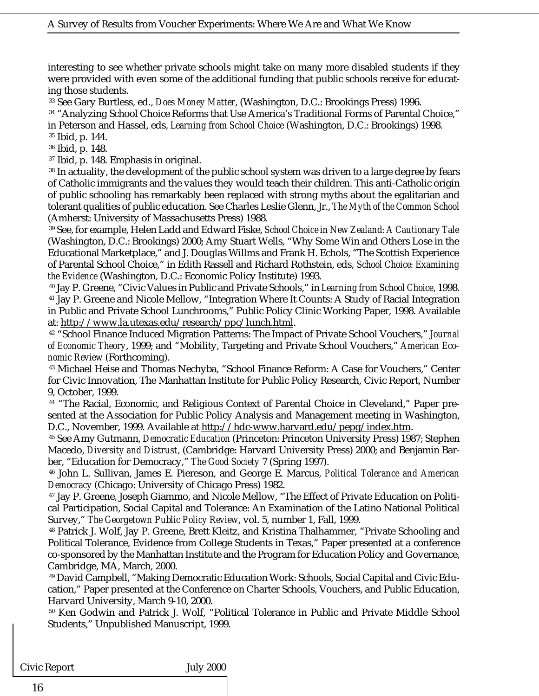interesting to see whether private schools might take on many more disabled students if they were provided with even some of the additional funding that public schools receive for educating those students.

33 See Gary Burtless, ed., *Does Money Matter*, (Washington, D.C.: Brookings Press) 1996.

<sup>34</sup> "Analyzing School Choice Reforms that Use America's Traditional Forms of Parental Choice," in Peterson and Hassel, eds, *Learning from School Choice* (Washington, D.C.: Brookings) 1998.

35 Ibid, p. 144.

36 Ibid, p. 148.

37 Ibid, p. 148. Emphasis in original.

<sup>38</sup> In actuality, the development of the public school system was driven to a large degree by fears of Catholic immigrants and the values they would teach their children. This anti-Catholic origin of public schooling has remarkably been replaced with strong myths about the egalitarian and tolerant qualities of public education. See Charles Leslie Glenn, Jr., *The Myth of the Common School* (Amherst: University of Massachusetts Press) 1988.

39 See, for example, Helen Ladd and Edward Fiske, *School Choice in New Zealand: A Cautionary Tale* (Washington, D.C.: Brookings) 2000; Amy Stuart Wells, "Why Some Win and Others Lose in the Educational Marketplace," and J. Douglas Willms and Frank H. Echols, "The Scottish Experience of Parental School Choice," in Edith Rassell and Richard Rothstein, eds, *School Choice: Examining the Evidence* (Washington, D.C.: Economic Policy Institute) 1993.

40 Jay P. Greene, "Civic Values in Public and Private Schools," in *Learning from School Choice*, 1998. 41 Jay P. Greene and Nicole Mellow, "Integration Where It Counts: A Study of Racial Integration in Public and Private School Lunchrooms," Public Policy Clinic Working Paper, 1998. Available at: http://www.la.utexas.edu/research/ppc/lunch.html.

42 "School Finance Induced Migration Patterns: The Impact of Private School Vouchers," *Journal of Economic Theory*, 1999; and "Mobility, Targeting and Private School Vouchers," *American Economic Review* (Forthcoming).

43 Michael Heise and Thomas Nechyba, "School Finance Reform: A Case for Vouchers," Center for Civic Innovation, The Manhattan Institute for Public Policy Research, Civic Report, Number 9, October, 1999.

<sup>44</sup> "The Racial, Economic, and Religious Context of Parental Choice in Cleveland," Paper presented at the Association for Public Policy Analysis and Management meeting in Washington, D.C., November, 1999. Available at http://hdc-www.harvard.edu/pepg/index.htm.

45 See Amy Gutmann, *Democratic Education* (Princeton: Princeton University Press) 1987; Stephen Macedo, *Diversity and Distrust*, (Cambridge: Harvard University Press) 2000; and Benjamin Barber, "Education for Democracy," *The Good Society* 7 (Spring 1997).

46 John L. Sullivan, James E. Piereson, and George E. Marcus, *Political Tolerance and American Democracy* (Chicago: University of Chicago Press) 1982.

47 Jay P. Greene, Joseph Giammo, and Nicole Mellow, "The Effect of Private Education on Political Participation, Social Capital and Tolerance: An Examination of the Latino National Political Survey," *The Georgetown Public Policy Review*, vol. 5, number 1, Fall, 1999.

48 Patrick J. Wolf, Jay P. Greene, Brett Kleitz, and Kristina Thalhammer, "Private Schooling and Political Tolerance, Evidence from College Students in Texas," Paper presented at a conference co-sponsored by the Manhattan Institute and the Program for Education Policy and Governance, Cambridge, MA, March, 2000.

49 David Campbell, "Making Democratic Education Work: Schools, Social Capital and Civic Education," Paper presented at the Conference on Charter Schools, Vouchers, and Public Education, Harvard University, March 9-10, 2000.

50 Ken Godwin and Patrick J. Wolf, "Political Tolerance in Public and Private Middle School Students," Unpublished Manuscript, 1999.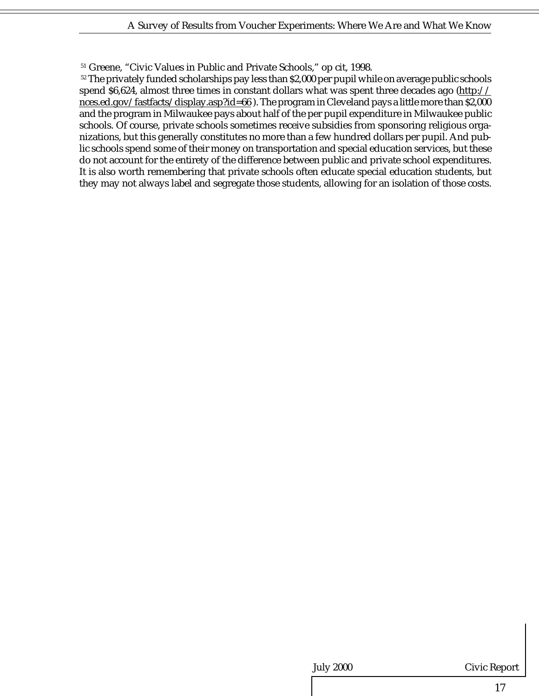#### 51 Greene, "Civic Values in Public and Private Schools," op cit, 1998.

 $52$  The privately funded scholarships pay less than  $$2,000$  per pupil while on average public schools spend \$6,624, almost three times in constant dollars what was spent three decades ago (http:// nces.ed.gov/fastfacts/display.asp?id=66 ). The program in Cleveland pays a little more than \$2,000 and the program in Milwaukee pays about half of the per pupil expenditure in Milwaukee public schools. Of course, private schools sometimes receive subsidies from sponsoring religious organizations, but this generally constitutes no more than a few hundred dollars per pupil. And public schools spend some of their money on transportation and special education services, but these do not account for the entirety of the difference between public and private school expenditures. It is also worth remembering that private schools often educate special education students, but they may not always label and segregate those students, allowing for an isolation of those costs.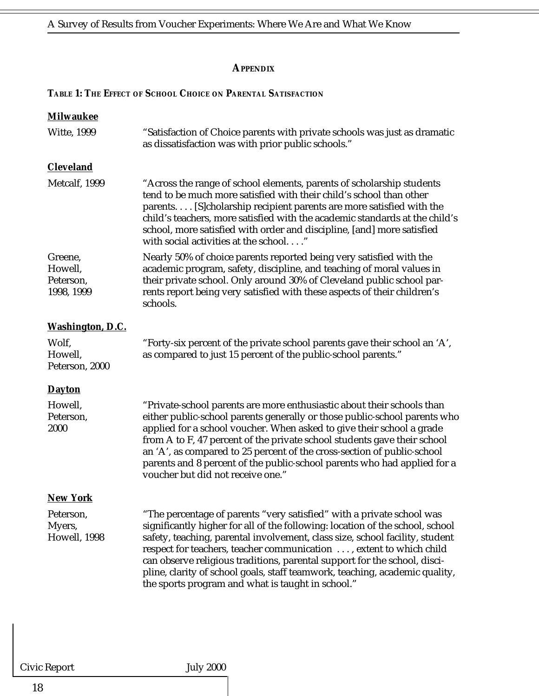#### **APPENDIX**

**TABLE 1: THE EFFECT OF SCHOOL CHOICE ON PARENTAL SATISFACTION**

| <b>Milwaukee</b>                              |                                                                                                                                                                                                                                                                                                                                                                                                                                                                                                                                |  |
|-----------------------------------------------|--------------------------------------------------------------------------------------------------------------------------------------------------------------------------------------------------------------------------------------------------------------------------------------------------------------------------------------------------------------------------------------------------------------------------------------------------------------------------------------------------------------------------------|--|
| <b>Witte, 1999</b>                            | "Satisfaction of Choice parents with private schools was just as dramatic<br>as dissatisfaction was with prior public schools."                                                                                                                                                                                                                                                                                                                                                                                                |  |
| <b>Cleveland</b>                              |                                                                                                                                                                                                                                                                                                                                                                                                                                                                                                                                |  |
| Metcalf, 1999                                 | "Across the range of school elements, parents of scholarship students<br>tend to be much more satisfied with their child's school than other<br>parents [S]cholarship recipient parents are more satisfied with the<br>child's teachers, more satisfied with the academic standards at the child's<br>school, more satisfied with order and discipline, [and] more satisfied<br>with social activities at the school"                                                                                                          |  |
| Greene,<br>Howell,<br>Peterson,<br>1998, 1999 | Nearly 50% of choice parents reported being very satisfied with the<br>academic program, safety, discipline, and teaching of moral values in<br>their private school. Only around 30% of Cleveland public school par-<br>rents report being very satisfied with these aspects of their children's<br>schools.                                                                                                                                                                                                                  |  |
| <b>Washington, D.C.</b>                       |                                                                                                                                                                                                                                                                                                                                                                                                                                                                                                                                |  |
| Wolf,<br>Howell,<br>Peterson, 2000            | "Forty-six percent of the private school parents gave their school an 'A',<br>as compared to just 15 percent of the public-school parents."                                                                                                                                                                                                                                                                                                                                                                                    |  |
| <b>Dayton</b>                                 |                                                                                                                                                                                                                                                                                                                                                                                                                                                                                                                                |  |
| Howell,<br>Peterson,<br>2000                  | "Private-school parents are more enthusiastic about their schools than<br>either public-school parents generally or those public-school parents who<br>applied for a school voucher. When asked to give their school a grade<br>from A to F, 47 percent of the private school students gave their school<br>an 'A', as compared to 25 percent of the cross-section of public-school<br>parents and 8 percent of the public-school parents who had applied for a<br>voucher but did not receive one."                           |  |
| <b>New York</b>                               |                                                                                                                                                                                                                                                                                                                                                                                                                                                                                                                                |  |
| Peterson,<br>Myers,<br>Howell, 1998           | "The percentage of parents "very satisfied" with a private school was<br>significantly higher for all of the following: location of the school, school<br>safety, teaching, parental involvement, class size, school facility, student<br>respect for teachers, teacher communication , extent to which child<br>can observe religious traditions, parental support for the school, disci-<br>pline, clarity of school goals, staff teamwork, teaching, academic quality,<br>the sports program and what is taught in school." |  |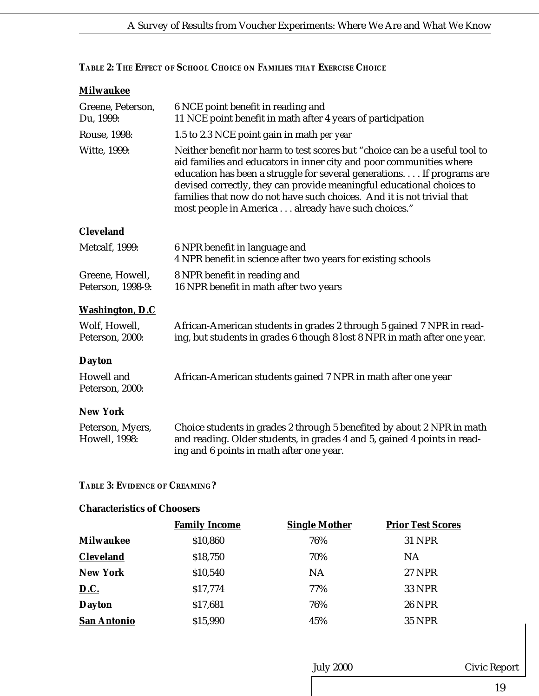# **Milwaukee**

| Greene, Peterson,<br>Du, 1999:       | 6 NCE point benefit in reading and<br>11 NCE point benefit in math after 4 years of participation                                                                                                                                                                                                                                                                                                                                     |  |
|--------------------------------------|---------------------------------------------------------------------------------------------------------------------------------------------------------------------------------------------------------------------------------------------------------------------------------------------------------------------------------------------------------------------------------------------------------------------------------------|--|
| Rouse, 1998:                         | 1.5 to 2.3 NCE point gain in math per year                                                                                                                                                                                                                                                                                                                                                                                            |  |
| Witte, 1999:                         | Neither benefit nor harm to test scores but "choice can be a useful tool to<br>aid families and educators in inner city and poor communities where<br>education has been a struggle for several generations. If programs are<br>devised correctly, they can provide meaningful educational choices to<br>families that now do not have such choices. And it is not trivial that<br>most people in America already have such choices." |  |
| <b>Cleveland</b>                     |                                                                                                                                                                                                                                                                                                                                                                                                                                       |  |
| Metcalf, 1999:                       | 6 NPR benefit in language and<br>4 NPR benefit in science after two years for existing schools                                                                                                                                                                                                                                                                                                                                        |  |
| Greene, Howell,<br>Peterson, 1998-9: | 8 NPR benefit in reading and<br>16 NPR benefit in math after two years                                                                                                                                                                                                                                                                                                                                                                |  |
| <b>Washington, D.C</b>               |                                                                                                                                                                                                                                                                                                                                                                                                                                       |  |
| Wolf, Howell,<br>Peterson, 2000:     | African-American students in grades 2 through 5 gained 7 NPR in read-<br>ing, but students in grades 6 though 8 lost 8 NPR in math after one year.                                                                                                                                                                                                                                                                                    |  |
| <b>Dayton</b>                        |                                                                                                                                                                                                                                                                                                                                                                                                                                       |  |
| Howell and<br>Peterson, 2000:        | African-American students gained 7 NPR in math after one year                                                                                                                                                                                                                                                                                                                                                                         |  |
| <b>New York</b>                      |                                                                                                                                                                                                                                                                                                                                                                                                                                       |  |
| Peterson, Myers,<br>Howell, 1998:    | Choice students in grades 2 through 5 benefited by about 2 NPR in math<br>and reading. Older students, in grades 4 and 5, gained 4 points in read-<br>ing and 6 points in math after one year.                                                                                                                                                                                                                                        |  |

# **TABLE 3: EVIDENCE OF CREAMING?**

#### **Characteristics of Choosers**

|                    | <b>Family Income</b> | <b>Single Mother</b> | <b>Prior Test Scores</b> |
|--------------------|----------------------|----------------------|--------------------------|
| <b>Milwaukee</b>   | \$10,860             | 76%                  | <b>31 NPR</b>            |
| <b>Cleveland</b>   | \$18,750             | 70%                  | <b>NA</b>                |
| <b>New York</b>    | \$10,540             | <b>NA</b>            | 27 NPR                   |
| D.C.               | \$17,774             | 77%                  | <b>33 NPR</b>            |
| <b>Dayton</b>      | \$17,681             | 76%                  | <b>26 NPR</b>            |
| <b>San Antonio</b> | \$15,990             | 45%                  | <b>35 NPR</b>            |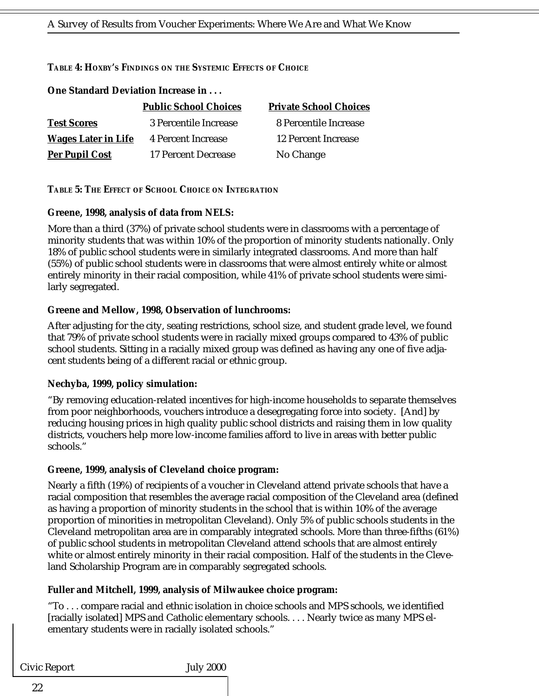#### **TABLE 4: HOXBY'S FINDINGS ON THE SYSTEMIC EFFECTS OF CHOICE**

#### **One Standard Deviation Increase in . . .**

|                            | <b>Public School Choices</b> | <b>Private School Choices</b> |
|----------------------------|------------------------------|-------------------------------|
| <b>Test Scores</b>         | 3 Percentile Increase        | 8 Percentile Increase         |
| <b>Wages Later in Life</b> | 4 Percent Increase           | 12 Percent Increase           |
| <b>Per Pupil Cost</b>      | 17 Percent Decrease          | No Change                     |

**TABLE 5: THE EFFECT OF SCHOOL CHOICE ON INTEGRATION**

# **Greene, 1998, analysis of data from NELS:**

More than a third (37%) of private school students were in classrooms with a percentage of minority students that was within 10% of the proportion of minority students nationally. Only 18% of public school students were in similarly integrated classrooms. And more than half (55%) of public school students were in classrooms that were almost entirely white or almost entirely minority in their racial composition, while 41% of private school students were similarly segregated.

#### **Greene and Mellow, 1998, Observation of lunchrooms:**

After adjusting for the city, seating restrictions, school size, and student grade level, we found that 79% of private school students were in racially mixed groups compared to 43% of public school students. Sitting in a racially mixed group was defined as having any one of five adjacent students being of a different racial or ethnic group.

#### **Nechyba, 1999, policy simulation:**

"By removing education-related incentives for high-income households to separate themselves from poor neighborhoods, vouchers introduce a desegregating force into society. [And] by reducing housing prices in high quality public school districts and raising them in low quality districts, vouchers help more low-income families afford to live in areas with better public schools."

# **Greene, 1999, analysis of Cleveland choice program:**

Nearly a fifth (19%) of recipients of a voucher in Cleveland attend private schools that have a racial composition that resembles the average racial composition of the Cleveland area (defined as having a proportion of minority students in the school that is within 10% of the average proportion of minorities in metropolitan Cleveland). Only 5% of public schools students in the Cleveland metropolitan area are in comparably integrated schools. More than three-fifths (61%) of public school students in metropolitan Cleveland attend schools that are almost entirely white or almost entirely minority in their racial composition. Half of the students in the Cleveland Scholarship Program are in comparably segregated schools.

# **Fuller and Mitchell, 1999, analysis of Milwaukee choice program:**

"To . . . compare racial and ethnic isolation in choice schools and MPS schools, we identified [racially isolated] MPS and Catholic elementary schools. . . . Nearly twice as many MPS elementary students were in racially isolated schools."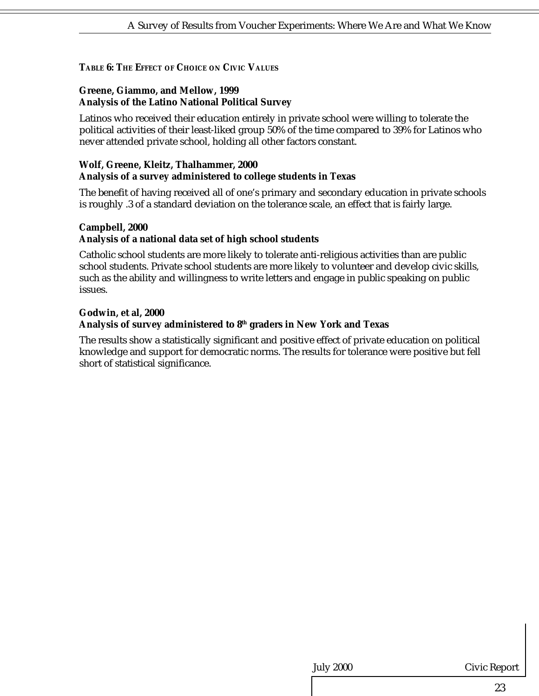# **TABLE 6: THE EFFECT OF CHOICE ON CIVIC VALUES**

#### **Greene, Giammo, and Mellow, 1999 Analysis of the Latino National Political Survey**

Latinos who received their education entirely in private school were willing to tolerate the political activities of their least-liked group 50% of the time compared to 39% for Latinos who never attended private school, holding all other factors constant.

# **Wolf, Greene, Kleitz, Thalhammer, 2000 Analysis of a survey administered to college students in Texas**

The benefit of having received all of one's primary and secondary education in private schools is roughly .3 of a standard deviation on the tolerance scale, an effect that is fairly large.

#### **Campbell, 2000**

# **Analysis of a national data set of high school students**

Catholic school students are more likely to tolerate anti-religious activities than are public school students. Private school students are more likely to volunteer and develop civic skills, such as the ability and willingness to write letters and engage in public speaking on public issues.

#### **Godwin, et al, 2000 Analysis of survey administered to 8th graders in New York and Texas**

The results show a statistically significant and positive effect of private education on political knowledge and support for democratic norms. The results for tolerance were positive but fell short of statistical significance.